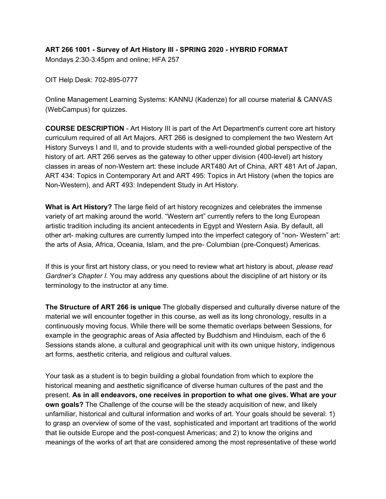# **ART 266 1001 - Survey of Art History III - SPRING 2020 - HYBRID FORMAT**

Mondays 2:30-3:45pm and online; HFA 257

OIT Help Desk: 702-895-0777

Online Management Learning Systems: KANNU (Kadenze) for all course material & CANVAS (WebCampus) for quizzes.

**COURSE DESCRIPTION** - Art History III is part of the Art Department's current core art history curriculum required of all Art Majors. ART 266 is designed to complement the two Western Art History Surveys I and II, and to provide students with a well-rounded global perspective of the history of art. ART 266 serves as the gateway to other upper division (400-level) art history classes in areas of non-Western art: these include ART480 Art of China, ART 481 Art of Japan, ART 434: Topics in Contemporary Art and ART 495: Topics in Art History (when the topics are Non-Western), and ART 493: Independent Study in Art History.

**What is Art History?** The large field of art history recognizes and celebrates the immense variety of art making around the world. "Western art" currently refers to the long European artistic tradition including its ancient antecedents in Egypt and Western Asia. By default, all other art- making cultures are currently lumped into the imperfect category of "non- Western" art: the arts of Asia, Africa, Oceania, Islam, and the pre- Columbian (pre-Conquest) Americas.

If this is your first art history class, or you need to review what art history is about, *please read Gardner's Chapter I.* You may address any questions about the discipline of art history or its terminology to the instructor at any time.

**The Structure of ART 266 is unique** The globally dispersed and culturally diverse nature of the material we will encounter together in this course, as well as its long chronology, results in a continuously moving focus. While there will be some thematic overlaps between Sessions, for example in the geographic areas of Asia affected by Buddhism and Hinduism, each of the 6 Sessions stands alone, a cultural and geographical unit with its own unique history, indigenous art forms, aesthetic criteria, and religious and cultural values.

Your task as a student is to begin building a global foundation from which to explore the historical meaning and aesthetic significance of diverse human cultures of the past and the present. **As in all endeavors, one receives in proportion to what one gives. What are your own goals?** The Challenge of the course will be the steady acquisition of new, and likely unfamiliar, historical and cultural information and works of art. Your goals should be several: 1) to grasp an overview of some of the vast, sophisticated and important art traditions of the world that lie outside Europe and the post-conquest Americas; and 2) to know the origins and meanings of the works of art that are considered among the most representative of these world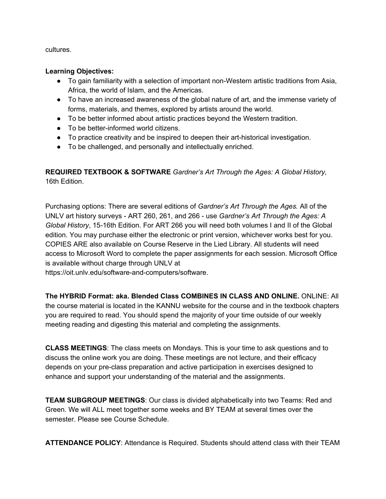cultures.

#### **Learning Objectives:**

- To gain familiarity with a selection of important non-Western artistic traditions from Asia, Africa, the world of Islam, and the Americas.
- To have an increased awareness of the global nature of art, and the immense variety of forms, materials, and themes, explored by artists around the world.
- To be better informed about artistic practices beyond the Western tradition.
- To be better-informed world citizens.
- To practice creativity and be inspired to deepen their art-historical investigation.
- To be challenged, and personally and intellectually enriched.

**REQUIRED TEXTBOOK & SOFTWARE** *Gardner's Art Through the Ages: A Global History,* 16th Edition.

Purchasing options: There are several editions of *Gardner's Art Through the Ages.* All of the UNLV art history surveys - ART 260, 261, and 266 - use *Gardner's Art Through the Ages: A Global History*, 15-16th Edition. For ART 266 you will need both volumes I and II of the Global edition. You may purchase either the electronic or print version, whichever works best for you. COPIES ARE also available on Course Reserve in the Lied Library. All students will need access to Microsoft Word to complete the paper assignments for each session. Microsoft Office is available without charge through UNLV at

https://oit.unlv.edu/software-and-computers/software.

**The HYBRID Format: aka. Blended Class COMBINES IN CLASS AND ONLINE.** ONLINE: All the course material is located in the KANNU website for the course and in the textbook chapters you are required to read. You should spend the majority of your time outside of our weekly meeting reading and digesting this material and completing the assignments.

**CLASS MEETINGS**: The class meets on Mondays. This is your time to ask questions and to discuss the online work you are doing. These meetings are not lecture, and their efficacy depends on your pre-class preparation and active participation in exercises designed to enhance and support your understanding of the material and the assignments.

**TEAM SUBGROUP MEETINGS**: Our class is divided alphabetically into two Teams: Red and Green. We will ALL meet together some weeks and BY TEAM at several times over the semester. Please see Course Schedule.

**ATTENDANCE POLICY**: Attendance is Required. Students should attend class with their TEAM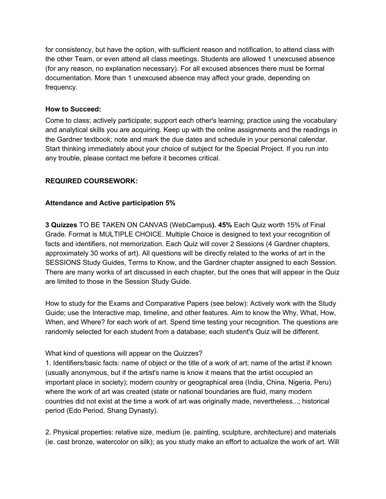for consistency, but have the option, with sufficient reason and notification, to attend class with the other Team, or even attend all class meetings. Students are allowed 1 unexcused absence (for any reason, no explanation necessary). For all excused absences there must be formal documentation. More than 1 unexcused absence may affect your grade, depending on frequency.

#### **How to Succeed:**

Come to class; actively participate; support each other's learning; practice using the vocabulary and analytical skills you are acquiring. Keep up with the online assignments and the readings in the Gardner textbook; note and mark the due dates and schedule in your personal calendar. Start thinking immediately about your choice of subject for the Special Project. If you run into any trouble, please contact me before it becomes critical.

## **REQUIRED COURSEWORK:**

## **Attendance and Active participation 5%**

**3 Quizzes** TO BE TAKEN ON CANVAS (WebCampus**). 45%** Each Quiz worth 15% of Final Grade. Format is MULTIPLE CHOICE. Multiple Choice is designed to text your recognition of facts and identifiers, not memorization. Each Quiz will cover 2 Sessions (4 Gardner chapters, approximately 30 works of art). All questions will be directly related to the works of art in the SESSIONS Study Guides, Terms to Know, and the Gardner chapter assigned to each Session. There are many works of art discussed in each chapter, but the ones that will appear in the Quiz are limited to those in the Session Study Guide.

How to study for the Exams and Comparative Papers (see below): Actively work with the Study Guide; use the Interactive map, timeline, and other features. Aim to know the Why, What, How, When, and Where? for each work of art. Spend time testing your recognition. The questions are randomly selected for each student from a database; each student's Quiz will be different.

#### What kind of questions will appear on the Quizzes?

1. Identifiers/basic facts: name of object or the title of a work of art; name of the artist if known (usually anonymous, but if the artist's name is know it means that the artist occupied an important place in society); modern country or geographical area (India, China, Nigeria, Peru) where the work of art was created (state or national boundaries are fluid, many modern countries did not exist at the time a work of art was originally made, nevertheless...; historical period (Edo Period, Shang Dynasty).

2. Physical properties: relative size, medium (ie. painting, sculpture, architecture) and materials (ie. cast bronze, watercolor on silk); as you study make an effort to actualize the work of art. Will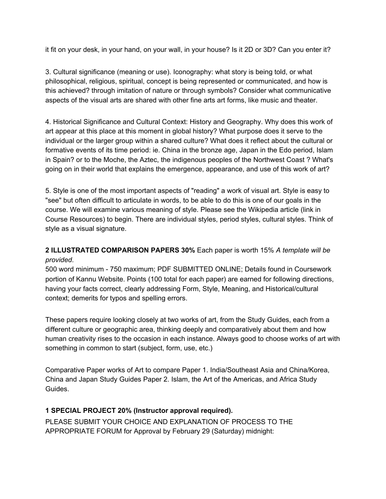it fit on your desk, in your hand, on your wall, in your house? Is it 2D or 3D? Can you enter it?

3. Cultural significance (meaning or use). Iconography: what story is being told, or what philosophical, religious, spiritual, concept is being represented or communicated, and how is this achieved? through imitation of nature or through symbols? Consider what communicative aspects of the visual arts are shared with other fine arts art forms, like music and theater.

4. Historical Significance and Cultural Context: History and Geography. Why does this work of art appear at this place at this moment in global history? What purpose does it serve to the individual or the larger group within a shared culture? What does it reflect about the cultural or formative events of its time period: ie. China in the bronze age, Japan in the Edo period, Islam in Spain? or to the Moche, the Aztec, the indigenous peoples of the Northwest Coast ? What's going on in their world that explains the emergence, appearance, and use of this work of art?

5. Style is one of the most important aspects of "reading" a work of visual art. Style is easy to "see" but often difficult to articulate in words, to be able to do this is one of our goals in the course. We will examine various meaning of style. Please see the Wikipedia article (link in Course Resources) to begin. There are individual styles, period styles, cultural styles. Think of style as a visual signature.

# **2 ILLUSTRATED COMPARISON PAPERS 30%** Each paper is worth 15% *A template will be provided*.

500 word minimum - 750 maximum; PDF SUBMITTED ONLINE; Details found in Coursework portion of Kannu Website. Points (100 total for each paper) are earned for following directions, having your facts correct, clearly addressing Form, Style, Meaning, and Historical/cultural context; demerits for typos and spelling errors.

These papers require looking closely at two works of art, from the Study Guides, each from a different culture or geographic area, thinking deeply and comparatively about them and how human creativity rises to the occasion in each instance. Always good to choose works of art with something in common to start (subject, form, use, etc.)

Comparative Paper works of Art to compare Paper 1. India/Southeast Asia and China/Korea, China and Japan Study Guides Paper 2. Islam, the Art of the Americas, and Africa Study Guides.

# **1 SPECIAL PROJECT 20% (Instructor approval required).**

PLEASE SUBMIT YOUR CHOICE AND EXPLANATION OF PROCESS TO THE APPROPRIATE FORUM for Approval by February 29 (Saturday) midnight: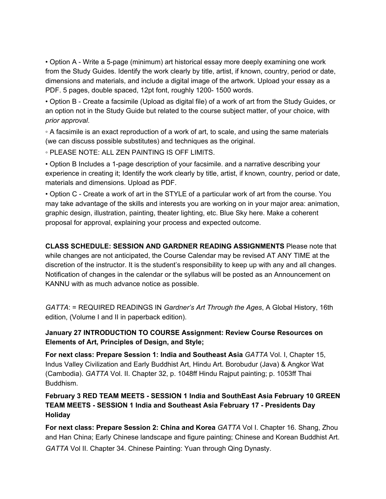• Option A - Write a 5-page (minimum) art historical essay more deeply examining one work from the Study Guides. Identify the work clearly by title, artist, if known, country, period or date, dimensions and materials, and include a digital image of the artwork. Upload your essay as a PDF. 5 pages, double spaced, 12pt font, roughly 1200- 1500 words.

• Option B - Create a facsimile (Upload as digital file) of a work of art from the Study Guides, or an option not in the Study Guide but related to the course subject matter, of your choice, with *prior approval*.

◦ A facsimile is an exact reproduction of a work of art, to scale, and using the same materials (we can discuss possible substitutes) and techniques as the original.

◦ PLEASE NOTE: ALL ZEN PAINTING IS OFF LIMITS.

• Option B Includes a 1-page description of your facsimile. and a narrative describing your experience in creating it; Identify the work clearly by title, artist, if known, country, period or date, materials and dimensions. Upload as PDF.

• Option C - Create a work of art in the STYLE of a particular work of art from the course. You may take advantage of the skills and interests you are working on in your major area: animation, graphic design, illustration, painting, theater lighting, etc. Blue Sky here. Make a coherent proposal for approval, explaining your process and expected outcome.

**CLASS SCHEDULE: SESSION AND GARDNER READING ASSIGNMENTS** Please note that while changes are not anticipated, the Course Calendar may be revised AT ANY TIME at the discretion of the instructor. It is the student's responsibility to keep up with any and all changes. Notification of changes in the calendar or the syllabus will be posted as an Announcement on KANNU with as much advance notice as possible.

*GATTA*: = REQUIRED READINGS IN *Gardner's Art Through the Ages*, A Global History, 16th edition, (Volume I and II in paperback edition).

# **January 27 INTRODUCTION TO COURSE Assignment: Review Course Resources on Elements of Art, Principles of Design, and Style;**

**For next class: Prepare Session 1: India and Southeast Asia** *GATTA* Vol. I, Chapter 15, Indus Valley Civilization and Early Buddhist Art, Hindu Art. Borobudur (Java) & Angkor Wat (Cambodia). *GATTA* Vol. II. Chapter 32, p. 1048ff Hindu Rajput painting; p. 1053ff Thai Buddhism.

# **February 3 RED TEAM MEETS - SESSION 1 India and SouthEast Asia February 10 GREEN TEAM MEETS - SESSION 1 India and Southeast Asia February 17 - Presidents Day Holiday**

**For next class: Prepare Session 2: China and Korea** *GATTA* Vol I. Chapter 16. Shang, Zhou and Han China; Early Chinese landscape and figure painting; Chinese and Korean Buddhist Art. *GATTA* Vol II. Chapter 34. Chinese Painting: Yuan through Qing Dynasty.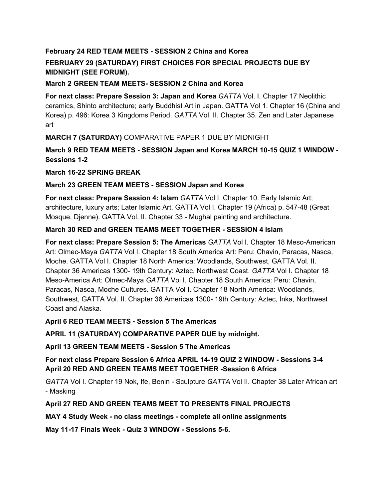# **February 24 RED TEAM MEETS - SESSION 2 China and Korea**

# **FEBRUARY 29 (SATURDAY) FIRST CHOICES FOR SPECIAL PROJECTS DUE BY MIDNIGHT (SEE FORUM).**

## **March 2 GREEN TEAM MEETS- SESSION 2 China and Korea**

**For next class: Prepare Session 3: Japan and Korea** *GATTA* Vol. I. Chapter 17 Neolithic ceramics, Shinto architecture; early Buddhist Art in Japan. GATTA Vol 1. Chapter 16 (China and Korea) p. 496: Korea 3 Kingdoms Period. *GATTA* Vol. II. Chapter 35. Zen and Later Japanese art

**MARCH 7 (SATURDAY)** COMPARATIVE PAPER 1 DUE BY MIDNIGHT

**March 9 RED TEAM MEETS - SESSION Japan and Korea MARCH 10-15 QUIZ 1 WINDOW - Sessions 1-2**

**March 16-22 SPRING BREAK**

## **March 23 GREEN TEAM MEETS - SESSION Japan and Korea**

**For next class: Prepare Session 4: Islam** *GATTA* Vol I. Chapter 10. Early Islamic Art; architecture, luxury arts; Later Islamic Art. GATTA Vol I. Chapter 19 (Africa) p. 547-48 (Great Mosque, Djenne). GATTA Vol. II. Chapter 33 - Mughal painting and architecture.

## **March 30 RED and GREEN TEAMS MEET TOGETHER - SESSION 4 Islam**

**For next class: Prepare Session 5: The Americas** *GATTA* Vol I. Chapter 18 Meso-American Art: Olmec-Maya *GATTA* Vol I. Chapter 18 South America Art: Peru: Chavin, Paracas, Nasca, Moche. GATTA Vol I. Chapter 18 North America: Woodlands, Southwest, GATTA Vol. II. Chapter 36 Americas 1300- 19th Century: Aztec, Northwest Coast. *GATTA* Vol I. Chapter 18 Meso-America Art: Olmec-Maya *GATTA* Vol I. Chapter 18 South America: Peru: Chavin, Paracas, Nasca, Moche Cultures. GATTA Vol I. Chapter 18 North America: Woodlands, Southwest, GATTA Vol. II. Chapter 36 Americas 1300- 19th Century: Aztec, Inka, Northwest Coast and Alaska.

#### **April 6 RED TEAM MEETS - Session 5 The Americas**

**APRIL 11 (SATURDAY) COMPARATIVE PAPER DUE by midnight.**

**April 13 GREEN TEAM MEETS - Session 5 The Americas**

**For next class Prepare Session 6 Africa APRIL 14-19 QUIZ 2 WINDOW - Sessions 3-4 April 20 RED AND GREEN TEAMS MEET TOGETHER -Session 6 Africa**

*GATTA* Vol I. Chapter 19 Nok, Ife, Benin - Sculpture *GATTA* Vol II. Chapter 38 Later African art - Masking

# **April 27 RED AND GREEN TEAMS MEET TO PRESENTS FINAL PROJECTS**

**MAY 4 Study Week - no class meetings - complete all online assignments**

**May 11-17 Finals Week - Quiz 3 WINDOW - Sessions 5-6.**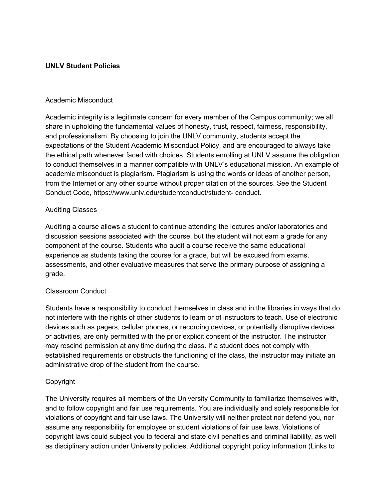## **UNLV Student Policies**

#### Academic Misconduct

Academic integrity is a legitimate concern for every member of the Campus community; we all share in upholding the fundamental values of honesty, trust, respect, fairness, responsibility, and professionalism. By choosing to join the UNLV community, students accept the expectations of the Student Academic Misconduct Policy, and are encouraged to always take the ethical path whenever faced with choices. Students enrolling at UNLV assume the obligation to conduct themselves in a manner compatible with UNLV's educational mission. An example of academic misconduct is plagiarism. Plagiarism is using the words or ideas of another person, from the Internet or any other source without proper citation of the sources. See the Student Conduct Code, https://www.unlv.edu/studentconduct/student- conduct.

#### Auditing Classes

Auditing a course allows a student to continue attending the lectures and/or laboratories and discussion sessions associated with the course, but the student will not earn a grade for any component of the course. Students who audit a course receive the same educational experience as students taking the course for a grade, but will be excused from exams, assessments, and other evaluative measures that serve the primary purpose of assigning a grade.

# Classroom Conduct

Students have a responsibility to conduct themselves in class and in the libraries in ways that do not interfere with the rights of other students to learn or of instructors to teach. Use of electronic devices such as pagers, cellular phones, or recording devices, or potentially disruptive devices or activities, are only permitted with the prior explicit consent of the instructor. The instructor may rescind permission at any time during the class. If a student does not comply with established requirements or obstructs the functioning of the class, the instructor may initiate an administrative drop of the student from the course.

# Copyright

The University requires all members of the University Community to familiarize themselves with, and to follow copyright and fair use requirements. You are individually and solely responsible for violations of copyright and fair use laws. The University will neither protect nor defend you, nor assume any responsibility for employee or student violations of fair use laws. Violations of copyright laws could subject you to federal and state civil penalties and criminal liability, as well as disciplinary action under University policies. Additional copyright policy information (Links to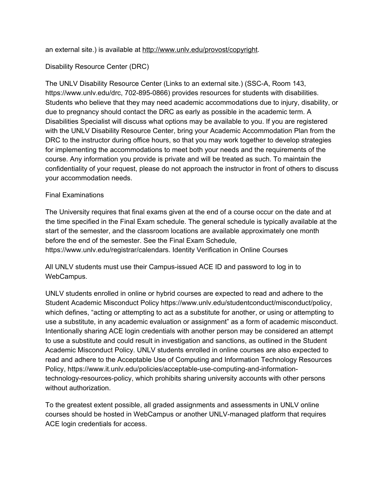an external site.) is available at [http://www.unlv.edu/provost/copyright.](http://www.unlv.edu/provost/copyright)

## Disability Resource Center (DRC)

The UNLV Disability Resource Center (Links to an external site.) (SSC-A, Room 143, https://www.unlv.edu/drc, 702-895-0866) provides resources for students with disabilities. Students who believe that they may need academic accommodations due to injury, disability, or due to pregnancy should contact the DRC as early as possible in the academic term. A Disabilities Specialist will discuss what options may be available to you. If you are registered with the UNLV Disability Resource Center, bring your Academic Accommodation Plan from the DRC to the instructor during office hours, so that you may work together to develop strategies for implementing the accommodations to meet both your needs and the requirements of the course. Any information you provide is private and will be treated as such. To maintain the confidentiality of your request, please do not approach the instructor in front of others to discuss your accommodation needs.

## Final Examinations

The University requires that final exams given at the end of a course occur on the date and at the time specified in the Final Exam schedule. The general schedule is typically available at the start of the semester, and the classroom locations are available approximately one month before the end of the semester. See the Final Exam Schedule, https://www.unlv.edu/registrar/calendars. Identity Verification in Online Courses

All UNLV students must use their Campus-issued ACE ID and password to log in to WebCampus.

UNLV students enrolled in online or hybrid courses are expected to read and adhere to the Student Academic Misconduct Policy https://www.unlv.edu/studentconduct/misconduct/policy, which defines, "acting or attempting to act as a substitute for another, or using or attempting to use a substitute, in any academic evaluation or assignment" as a form of academic misconduct. Intentionally sharing ACE login credentials with another person may be considered an attempt to use a substitute and could result in investigation and sanctions, as outlined in the Student Academic Misconduct Policy. UNLV students enrolled in online courses are also expected to read and adhere to the Acceptable Use of Computing and Information Technology Resources Policy, https://www.it.unlv.edu/policies/acceptable-use-computing-and-informationtechnology-resources-policy, which prohibits sharing university accounts with other persons without authorization.

To the greatest extent possible, all graded assignments and assessments in UNLV online courses should be hosted in WebCampus or another UNLV-managed platform that requires ACE login credentials for access.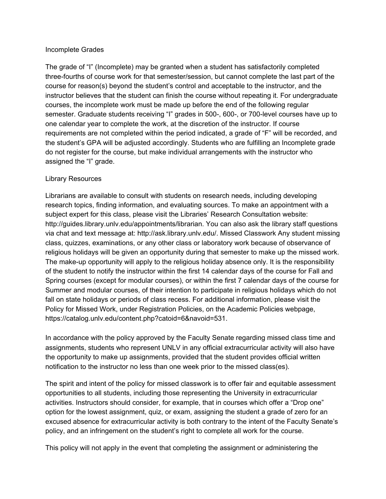#### Incomplete Grades

The grade of "I" (Incomplete) may be granted when a student has satisfactorily completed three-fourths of course work for that semester/session, but cannot complete the last part of the course for reason(s) beyond the student's control and acceptable to the instructor, and the instructor believes that the student can finish the course without repeating it. For undergraduate courses, the incomplete work must be made up before the end of the following regular semester. Graduate students receiving "I" grades in 500-, 600-, or 700-level courses have up to one calendar year to complete the work, at the discretion of the instructor. If course requirements are not completed within the period indicated, a grade of "F" will be recorded, and the student's GPA will be adjusted accordingly. Students who are fulfilling an Incomplete grade do not register for the course, but make individual arrangements with the instructor who assigned the "I" grade.

#### Library Resources

Librarians are available to consult with students on research needs, including developing research topics, finding information, and evaluating sources. To make an appointment with a subject expert for this class, please visit the Libraries' Research Consultation website: http://guides.library.unlv.edu/appointments/librarian. You can also ask the library staff questions via chat and text message at: http://ask.library.unlv.edu/. Missed Classwork Any student missing class, quizzes, examinations, or any other class or laboratory work because of observance of religious holidays will be given an opportunity during that semester to make up the missed work. The make-up opportunity will apply to the religious holiday absence only. It is the responsibility of the student to notify the instructor within the first 14 calendar days of the course for Fall and Spring courses (except for modular courses), or within the first 7 calendar days of the course for Summer and modular courses, of their intention to participate in religious holidays which do not fall on state holidays or periods of class recess. For additional information, please visit the Policy for Missed Work, under Registration Policies, on the Academic Policies webpage, https://catalog.unlv.edu/content.php?catoid=6&navoid=531.

In accordance with the policy approved by the Faculty Senate regarding missed class time and assignments, students who represent UNLV in any official extracurricular activity will also have the opportunity to make up assignments, provided that the student provides official written notification to the instructor no less than one week prior to the missed class(es).

The spirit and intent of the policy for missed classwork is to offer fair and equitable assessment opportunities to all students, including those representing the University in extracurricular activities. Instructors should consider, for example, that in courses which offer a "Drop one" option for the lowest assignment, quiz, or exam, assigning the student a grade of zero for an excused absence for extracurricular activity is both contrary to the intent of the Faculty Senate's policy, and an infringement on the student's right to complete all work for the course.

This policy will not apply in the event that completing the assignment or administering the